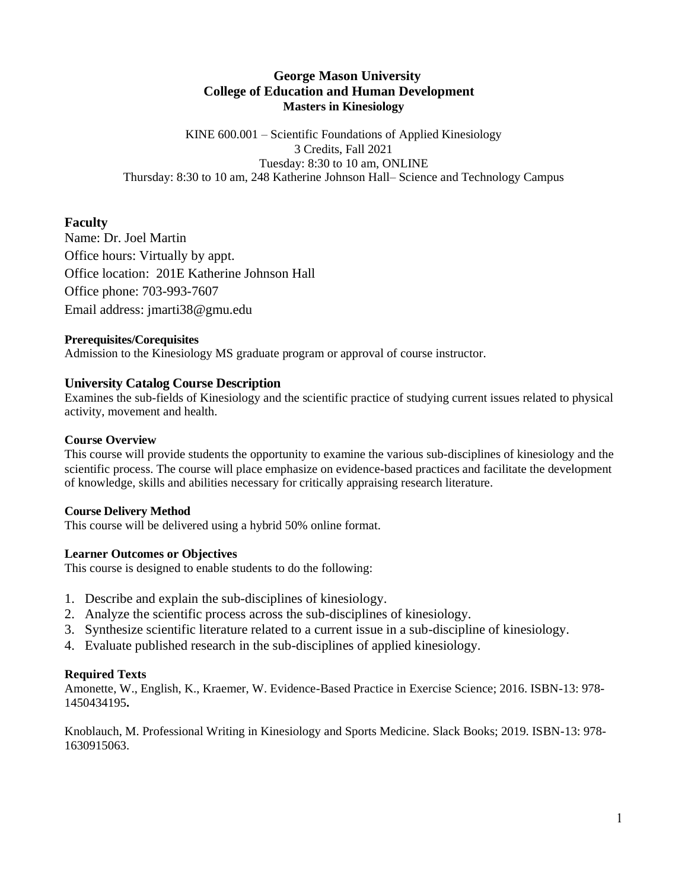# **George Mason University College of Education and Human Development Masters in Kinesiology**

KINE 600.001 – Scientific Foundations of Applied Kinesiology 3 Credits, Fall 2021 Tuesday: 8:30 to 10 am, ONLINE Thursday: 8:30 to 10 am, 248 Katherine Johnson Hall– Science and Technology Campus

# **Faculty**

Name: Dr. Joel Martin Office hours: Virtually by appt. Office location: 201E Katherine Johnson Hall Office phone: 703-993-7607 Email address: jmarti38@gmu.edu

### **Prerequisites/Corequisites**

Admission to the Kinesiology MS graduate program or approval of course instructor.

## **University Catalog Course Description**

Examines the sub-fields of Kinesiology and the scientific practice of studying current issues related to physical activity, movement and health.

### **Course Overview**

This course will provide students the opportunity to examine the various sub-disciplines of kinesiology and the scientific process. The course will place emphasize on evidence-based practices and facilitate the development of knowledge, skills and abilities necessary for critically appraising research literature.

#### **Course Delivery Method**

This course will be delivered using a hybrid 50% online format.

#### **Learner Outcomes or Objectives**

This course is designed to enable students to do the following:

- 1. Describe and explain the sub-disciplines of kinesiology.
- 2. Analyze the scientific process across the sub-disciplines of kinesiology.
- 3. Synthesize scientific literature related to a current issue in a sub-discipline of kinesiology.
- 4. Evaluate published research in the sub-disciplines of applied kinesiology.

## **Required Texts**

Amonette, W., English, K., Kraemer, W. Evidence-Based Practice in Exercise Science; 2016. ISBN-13: 978- 1450434195**.**

Knoblauch, M. Professional Writing in Kinesiology and Sports Medicine. Slack Books; 2019. ISBN-13: 978- 1630915063.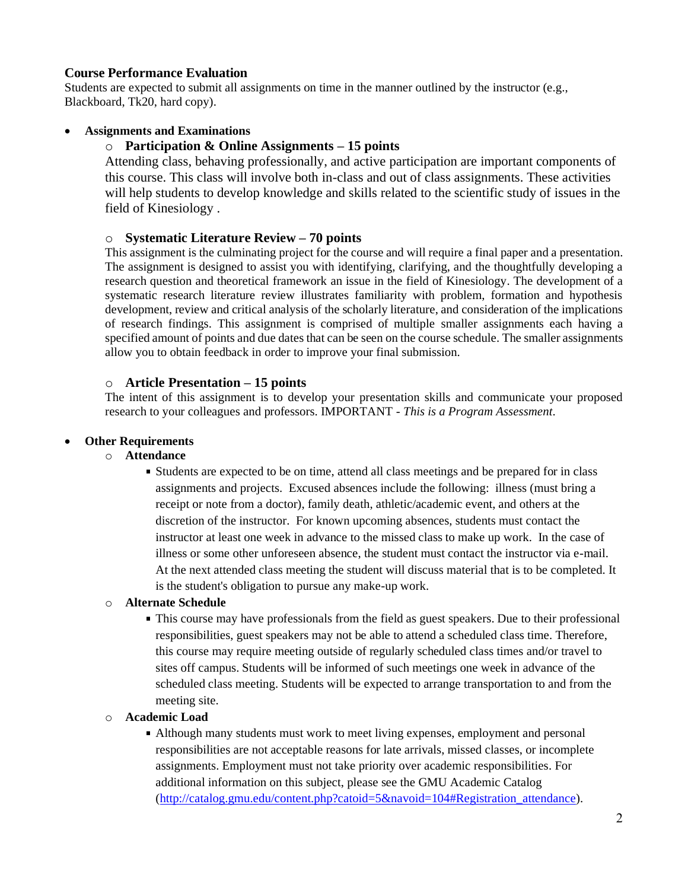## **Course Performance Evaluation**

Students are expected to submit all assignments on time in the manner outlined by the instructor (e.g., Blackboard, Tk20, hard copy).

### • **Assignments and Examinations**

### o **Participation & Online Assignments – 15 points**

Attending class, behaving professionally, and active participation are important components of this course. This class will involve both in-class and out of class assignments. These activities will help students to develop knowledge and skills related to the scientific study of issues in the field of Kinesiology .

#### o **Systematic Literature Review – 70 points**

This assignment is the culminating project for the course and will require a final paper and a presentation. The assignment is designed to assist you with identifying, clarifying, and the thoughtfully developing a research question and theoretical framework an issue in the field of Kinesiology. The development of a systematic research literature review illustrates familiarity with problem, formation and hypothesis development, review and critical analysis of the scholarly literature, and consideration of the implications of research findings. This assignment is comprised of multiple smaller assignments each having a specified amount of points and due dates that can be seen on the course schedule. The smaller assignments allow you to obtain feedback in order to improve your final submission.

### o **Article Presentation – 15 points**

The intent of this assignment is to develop your presentation skills and communicate your proposed research to your colleagues and professors. IMPORTANT - *This is a Program Assessment*.

#### • **Other Requirements**

### o **Attendance**

Students are expected to be on time, attend all class meetings and be prepared for in class assignments and projects. Excused absences include the following: illness (must bring a receipt or note from a doctor), family death, athletic/academic event, and others at the discretion of the instructor. For known upcoming absences, students must contact the instructor at least one week in advance to the missed class to make up work. In the case of illness or some other unforeseen absence, the student must contact the instructor via e-mail. At the next attended class meeting the student will discuss material that is to be completed. It is the student's obligation to pursue any make-up work.

#### o **Alternate Schedule**

This course may have professionals from the field as guest speakers. Due to their professional responsibilities, guest speakers may not be able to attend a scheduled class time. Therefore, this course may require meeting outside of regularly scheduled class times and/or travel to sites off campus. Students will be informed of such meetings one week in advance of the scheduled class meeting. Students will be expected to arrange transportation to and from the meeting site.

#### o **Academic Load**

Although many students must work to meet living expenses, employment and personal responsibilities are not acceptable reasons for late arrivals, missed classes, or incomplete assignments. Employment must not take priority over academic responsibilities. For additional information on this subject, please see the GMU Academic Catalog [\(http://catalog.gmu.edu/content.php?catoid=5&navoid=104#Registration\\_attendance\)](http://catalog.gmu.edu/content.php?catoid=5&navoid=104#Registration_attendance).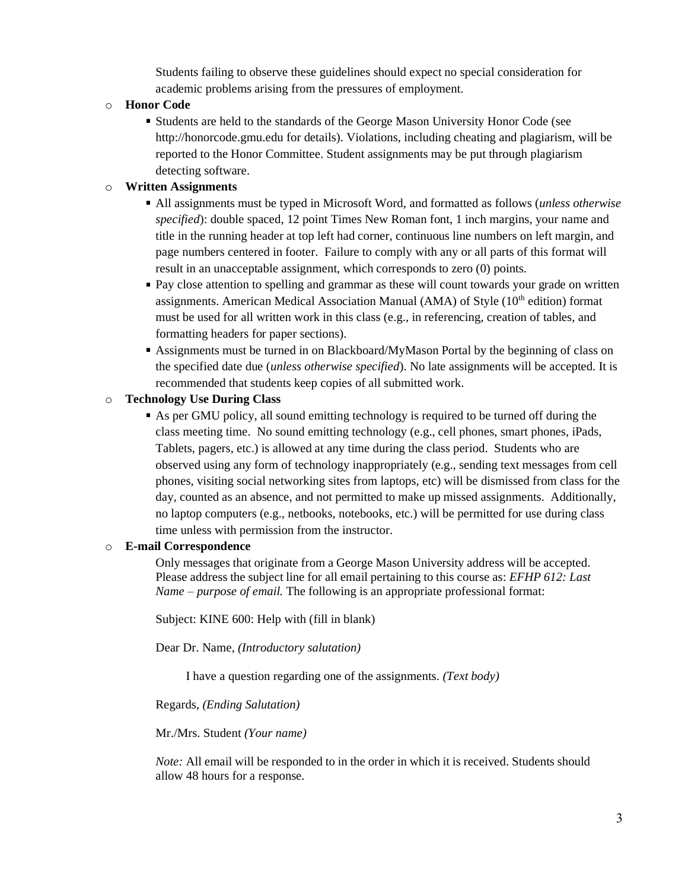Students failing to observe these guidelines should expect no special consideration for academic problems arising from the pressures of employment.

### o **Honor Code**

Students are held to the standards of the George Mason University Honor Code (see http://honorcode.gmu.edu for details). Violations, including cheating and plagiarism, will be reported to the Honor Committee. Student assignments may be put through plagiarism detecting software.

### o **Written Assignments**

- All assignments must be typed in Microsoft Word, and formatted as follows (*unless otherwise specified*): double spaced, 12 point Times New Roman font, 1 inch margins, your name and title in the running header at top left had corner, continuous line numbers on left margin, and page numbers centered in footer. Failure to comply with any or all parts of this format will result in an unacceptable assignment, which corresponds to zero (0) points.
- Pay close attention to spelling and grammar as these will count towards your grade on written assignments. American Medical Association Manual (AMA) of Style (10<sup>th</sup> edition) format must be used for all written work in this class (e.g., in referencing, creation of tables, and formatting headers for paper sections).
- Assignments must be turned in on Blackboard/MyMason Portal by the beginning of class on the specified date due (*unless otherwise specified*). No late assignments will be accepted. It is recommended that students keep copies of all submitted work.

### o **Technology Use During Class**

As per GMU policy, all sound emitting technology is required to be turned off during the class meeting time. No sound emitting technology (e.g., cell phones, smart phones, iPads, Tablets, pagers, etc.) is allowed at any time during the class period. Students who are observed using any form of technology inappropriately (e.g., sending text messages from cell phones, visiting social networking sites from laptops, etc) will be dismissed from class for the day, counted as an absence, and not permitted to make up missed assignments. Additionally, no laptop computers (e.g., netbooks, notebooks, etc.) will be permitted for use during class time unless with permission from the instructor.

#### o **E-mail Correspondence**

Only messages that originate from a George Mason University address will be accepted. Please address the subject line for all email pertaining to this course as: *EFHP 612: Last Name – purpose of email.* The following is an appropriate professional format:

Subject: KINE 600: Help with (fill in blank)

Dear Dr. Name, *(Introductory salutation)*

I have a question regarding one of the assignments. *(Text body)*

Regards, *(Ending Salutation)*

Mr./Mrs. Student *(Your name)*

*Note:* All email will be responded to in the order in which it is received. Students should allow 48 hours for a response.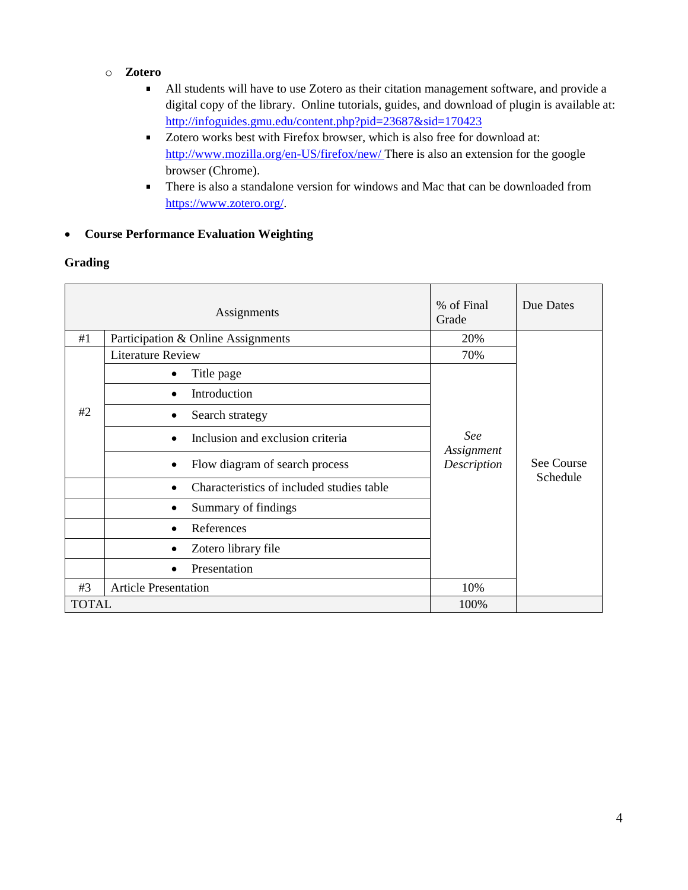## o **Zotero**

- $\blacksquare$ All students will have to use Zotero as their citation management software, and provide a digital copy of the library. Online tutorials, guides, and download of plugin is available at: <http://infoguides.gmu.edu/content.php?pid=23687&sid=170423>
- Zotero works best with Firefox browser, which is also free for download at: <http://www.mozilla.org/en-US/firefox/new/> There is also an extension for the google browser (Chrome).
- There is also a standalone version for windows and Mac that can be downloaded from  $\blacksquare$ [https://www.zotero.org/.](https://www.zotero.org/)

## • **Course Performance Evaluation Weighting**

## **Grading**

|              | Assignments                               | % of Final<br>Grade              | Due Dates              |
|--------------|-------------------------------------------|----------------------------------|------------------------|
| #1           | Participation & Online Assignments        | 20%                              |                        |
| #2           | <b>Literature Review</b>                  | 70%                              | See Course<br>Schedule |
|              | Title page                                | See<br>Assignment<br>Description |                        |
|              | Introduction                              |                                  |                        |
|              | Search strategy                           |                                  |                        |
|              | Inclusion and exclusion criteria          |                                  |                        |
|              | Flow diagram of search process<br>٠       |                                  |                        |
|              | Characteristics of included studies table |                                  |                        |
|              | Summary of findings<br>٠                  |                                  |                        |
|              | References                                |                                  |                        |
|              | Zotero library file                       |                                  |                        |
|              | Presentation<br>$\bullet$                 |                                  |                        |
| #3           | <b>Article Presentation</b>               | 10%                              |                        |
| <b>TOTAL</b> |                                           | 100%                             |                        |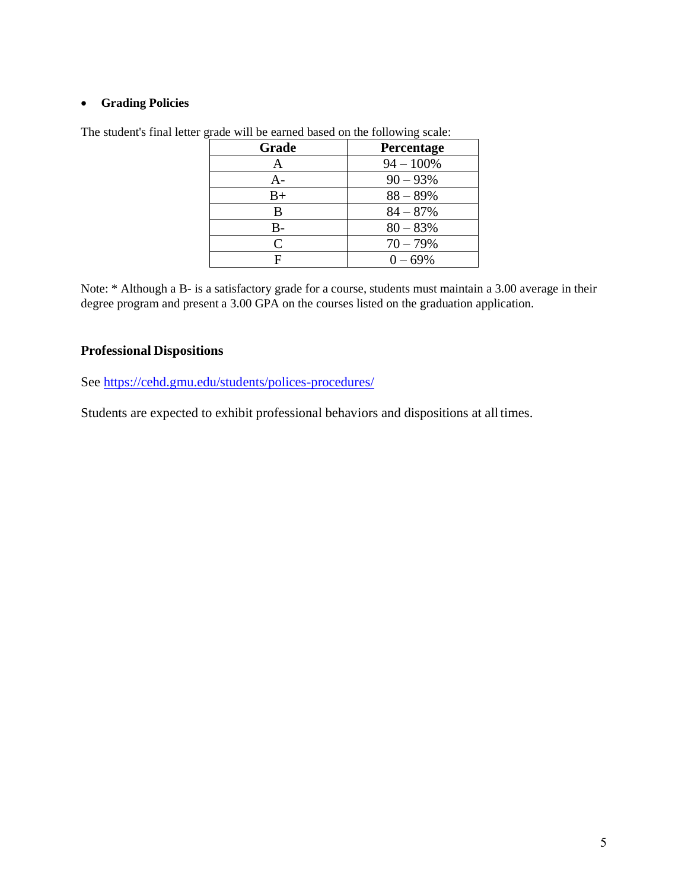## • **Grading Policies**

| Grade                       | Percentage   |
|-----------------------------|--------------|
| А                           | $94 - 100\%$ |
| $A -$                       | $90 - 93\%$  |
| $B+$                        | $88 - 89%$   |
| B                           | $84 - 87%$   |
| $B-$                        | $80 - 83%$   |
| $\mathcal{C}_{\mathcal{C}}$ | $70 - 79%$   |
|                             | $0 - 69\%$   |

The student's final letter grade will be earned based on the following scale:

Note: \* Although a B- is a satisfactory grade for a course, students must maintain a 3.00 average in their degree program and present a 3.00 GPA on the courses listed on the graduation application.

# **Professional Dispositions**

See<https://cehd.gmu.edu/students/polices-procedures/>

Students are expected to exhibit professional behaviors and dispositions at all times.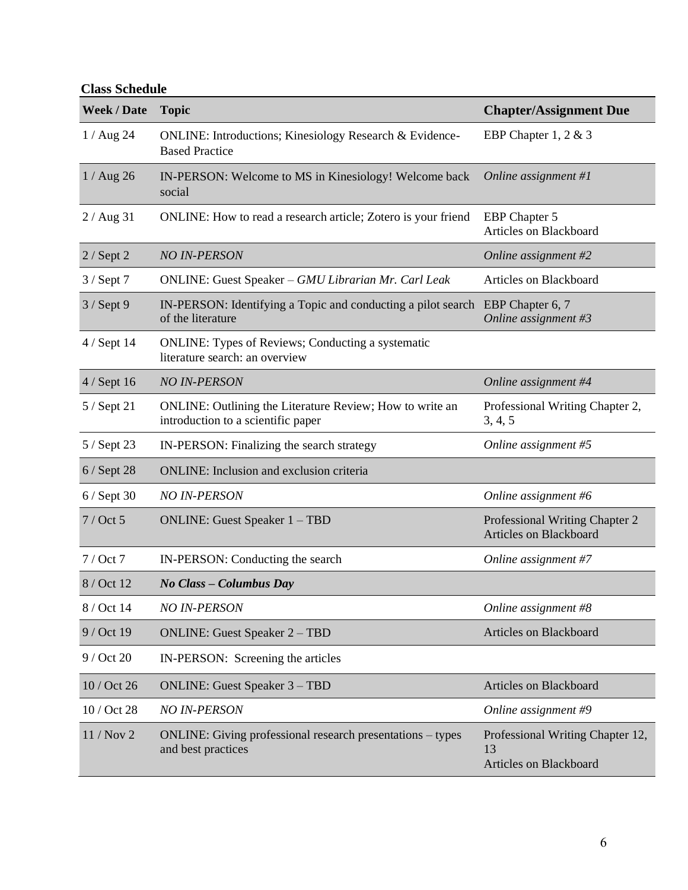**Class Schedule**

| <b>Week / Date</b> | <b>Topic</b>                                                                                   | <b>Chapter/Assignment Due</b>                                           |
|--------------------|------------------------------------------------------------------------------------------------|-------------------------------------------------------------------------|
| $1/$ Aug 24        | <b>ONLINE:</b> Introductions; Kinesiology Research & Evidence-<br><b>Based Practice</b>        | EBP Chapter 1, 2 $& 3$                                                  |
| $1/$ Aug 26        | IN-PERSON: Welcome to MS in Kinesiology! Welcome back<br>social                                | Online assignment #1                                                    |
| $2/$ Aug 31        | ONLINE: How to read a research article; Zotero is your friend                                  | <b>EBP</b> Chapter 5<br>Articles on Blackboard                          |
| $2 /$ Sept 2       | <b>NO IN-PERSON</b>                                                                            | Online assignment #2                                                    |
| $3 /$ Sept 7       | ONLINE: Guest Speaker - GMU Librarian Mr. Carl Leak                                            | Articles on Blackboard                                                  |
| $3/$ Sept 9        | IN-PERSON: Identifying a Topic and conducting a pilot search<br>of the literature              | EBP Chapter 6, 7<br>Online assignment #3                                |
| 4 / Sept 14        | <b>ONLINE: Types of Reviews; Conducting a systematic</b><br>literature search: an overview     |                                                                         |
| $4/$ Sept 16       | <b>NO IN-PERSON</b>                                                                            | Online assignment #4                                                    |
| 5 / Sept 21        | ONLINE: Outlining the Literature Review; How to write an<br>introduction to a scientific paper | Professional Writing Chapter 2,<br>3, 4, 5                              |
| 5 / Sept 23        | IN-PERSON: Finalizing the search strategy                                                      | Online assignment #5                                                    |
| $6/$ Sept 28       | <b>ONLINE:</b> Inclusion and exclusion criteria                                                |                                                                         |
| $6/$ Sept 30       | <b>NO IN-PERSON</b>                                                                            | Online assignment #6                                                    |
| $7$ / Oct 5        | <b>ONLINE: Guest Speaker 1 – TBD</b>                                                           | Professional Writing Chapter 2<br><b>Articles on Blackboard</b>         |
| $7/$ Oct $7$       | IN-PERSON: Conducting the search                                                               | Online assignment #7                                                    |
| 8 / Oct 12         | No Class - Columbus Day                                                                        |                                                                         |
| 8 / Oct 14         | <b>NO IN-PERSON</b>                                                                            | Online assignment #8                                                    |
| 9 / Oct 19         | <b>ONLINE: Guest Speaker 2 – TBD</b>                                                           | <b>Articles on Blackboard</b>                                           |
| 9 / Oct 20         | IN-PERSON: Screening the articles                                                              |                                                                         |
| 10 / Oct 26        | <b>ONLINE: Guest Speaker 3 - TBD</b>                                                           | Articles on Blackboard                                                  |
| 10 / Oct 28        | <b>NO IN-PERSON</b>                                                                            | Online assignment #9                                                    |
| 11 / Nov 2         | ONLINE: Giving professional research presentations - types<br>and best practices               | Professional Writing Chapter 12,<br>13<br><b>Articles on Blackboard</b> |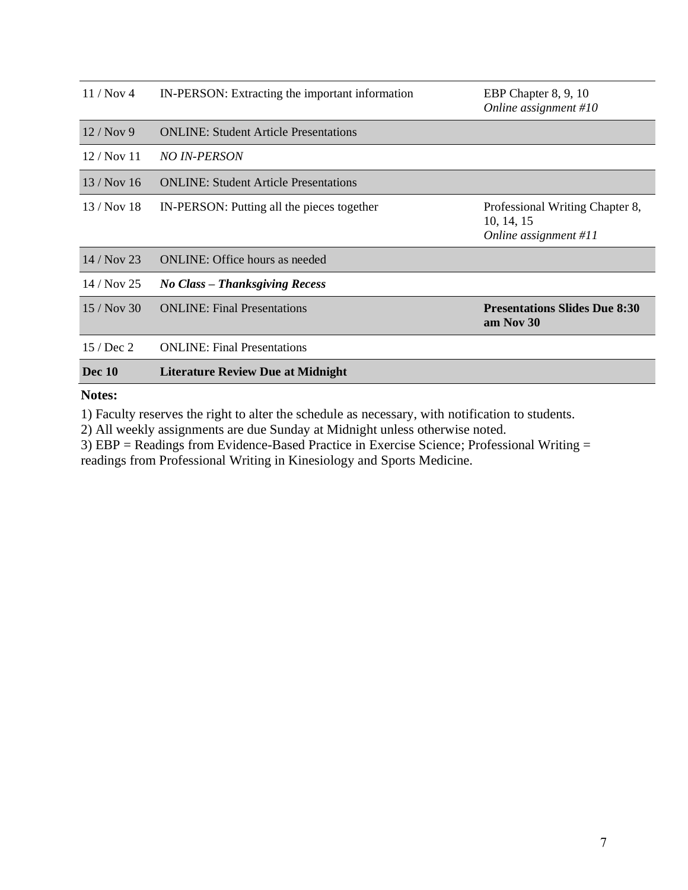| 11/Nov <sub>4</sub> | IN-PERSON: Extracting the important information | EBP Chapter 8, 9, 10<br>Online assignment $#10$                        |
|---------------------|-------------------------------------------------|------------------------------------------------------------------------|
| 12/Nov9             | <b>ONLINE:</b> Student Article Presentations    |                                                                        |
| 12 / Nov 11         | <i>NO IN-PERSON</i>                             |                                                                        |
| 13/Nov16            | <b>ONLINE:</b> Student Article Presentations    |                                                                        |
| $13/Nov$ 18         | IN-PERSON: Putting all the pieces together      | Professional Writing Chapter 8,<br>10, 14, 15<br>Online assignment #11 |
| $14/Nov$ 23         | <b>ONLINE:</b> Office hours as needed           |                                                                        |
| $14/Nov$ 25         | No Class – Thanksgiving Recess                  |                                                                        |
| 15/Nov 30           | <b>ONLINE:</b> Final Presentations              | <b>Presentations Slides Due 8:30</b><br>am Nov 30                      |
| 15 / Dec 2          | <b>ONLINE:</b> Final Presentations              |                                                                        |
| <b>Dec</b> 10       | <b>Literature Review Due at Midnight</b>        |                                                                        |

# **Notes:**

1) Faculty reserves the right to alter the schedule as necessary, with notification to students.

2) All weekly assignments are due Sunday at Midnight unless otherwise noted.

3) EBP = Readings from Evidence-Based Practice in Exercise Science; Professional Writing = readings from Professional Writing in Kinesiology and Sports Medicine.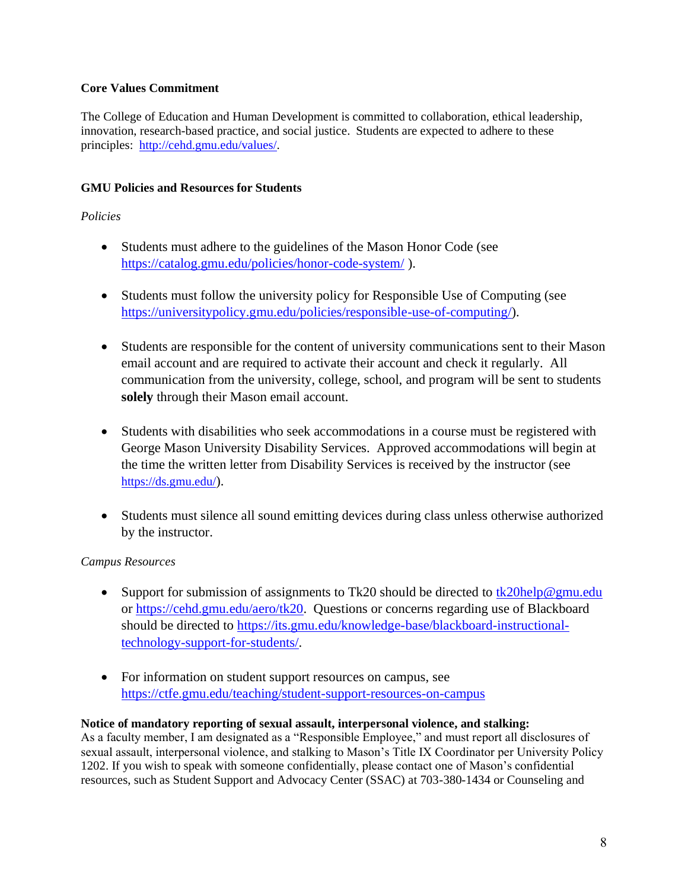## **Core Values Commitment**

The College of Education and Human Development is committed to collaboration, ethical leadership, innovation, research-based practice, and social justice. Students are expected to adhere to these principles: [http://cehd.gmu.edu/values/.](http://cehd.gmu.edu/values/)

## **GMU Policies and Resources for Students**

### *Policies*

- Students must adhere to the guidelines of the Mason Honor Code (see <https://catalog.gmu.edu/policies/honor-code-system/> ).
- Students must follow the university policy for Responsible Use of Computing (see [https://universitypolicy.gmu.edu/policies/responsible-use-of-computing/\)](https://universitypolicy.gmu.edu/policies/responsible-use-of-computing/).
- Students are responsible for the content of university communications sent to their Mason email account and are required to activate their account and check it regularly. All communication from the university, college, school, and program will be sent to students **solely** through their Mason email account.
- Students with disabilities who seek accommodations in a course must be registered with George Mason University Disability Services. Approved accommodations will begin at the time the written letter from Disability Services is received by the instructor (see <https://ds.gmu.edu/>).
- Students must silence all sound emitting devices during class unless otherwise authorized by the instructor.

## *Campus Resources*

- Support for submission of assignments to Tk20 should be directed to  $\frac{tk20\text{help@gmu.edu}}{tk20\text{help@gmu.edu}}$ or [https://cehd.gmu.edu/aero/tk20.](https://cehd.gmu.edu/aero/tk20) Questions or concerns regarding use of Blackboard should be directed to [https://its.gmu.edu/knowledge-base/blackboard-instructional](https://its.gmu.edu/knowledge-base/blackboard-instructional-technology-support-for-students/)[technology-support-for-students/.](https://its.gmu.edu/knowledge-base/blackboard-instructional-technology-support-for-students/)
- For information on student support resources on campus, see <https://ctfe.gmu.edu/teaching/student-support-resources-on-campus>

## **Notice of mandatory reporting of sexual assault, interpersonal violence, and stalking:**

As a faculty member, I am designated as a "Responsible Employee," and must report all disclosures of sexual assault, interpersonal violence, and stalking to Mason's Title IX Coordinator per University Policy 1202. If you wish to speak with someone confidentially, please contact one of Mason's confidential resources, such as Student Support and Advocacy Center (SSAC) at 703-380-1434 or Counseling and